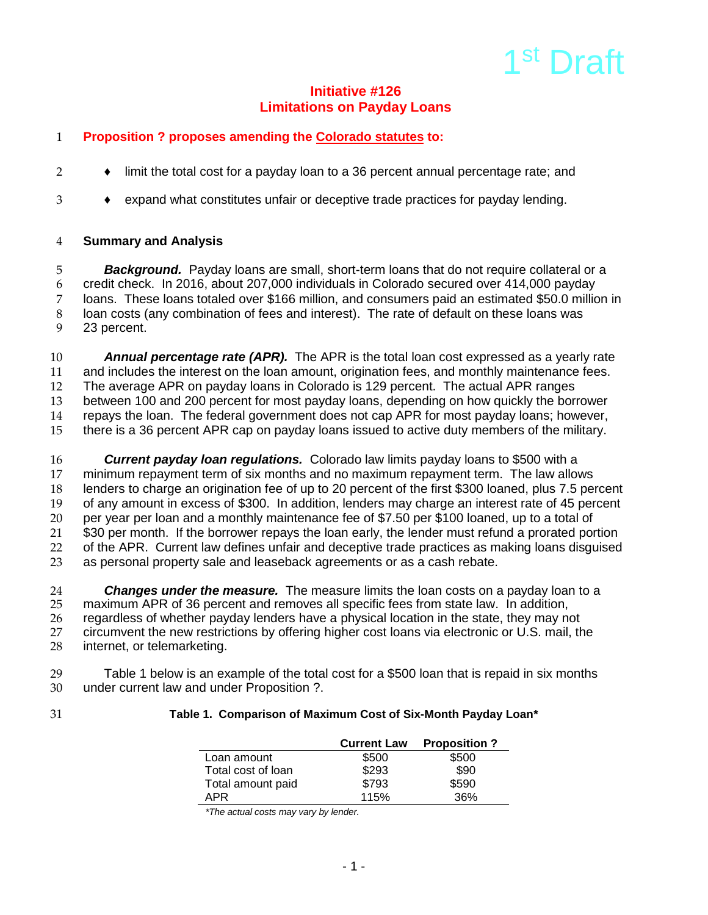# 1<sup>st</sup> Draft

## **Initiative #126 Limitations on Payday Loans**

# 1 **Proposition ? proposes amending the Colorado statutes to:**

- 2 ◆ limit the total cost for a payday loan to a 36 percent annual percentage rate; and
- 3 ♦ expand what constitutes unfair or deceptive trade practices for payday lending.

## 4 **Summary and Analysis**

 *Background.*Payday loans are small, short-term loans that do not require collateral or a credit check. In 2016, about 207,000 individuals in Colorado secured over 414,000 payday loans. These loans totaled over \$166 million, and consumers paid an estimated \$50.0 million in loan costs (any combination of fees and interest). The rate of default on these loans was 23 percent.

 *Annual percentage rate (APR).* The APR is the total loan cost expressed as a yearly rate and includes the interest on the loan amount, origination fees, and monthly maintenance fees. 12 The average APR on payday loans in Colorado is 129 percent. The actual APR ranges<br>13 between 100 and 200 percent for most payday loans, depending on how quickly the bor between 100 and 200 percent for most payday loans, depending on how quickly the borrower repays the loan. The federal government does not cap APR for most payday loans; however, there is a 36 percent APR cap on payday loans issued to active duty members of the military.

 *Current payday loan regulations.* Colorado law limits payday loans to \$500 with a 17 minimum repayment term of six months and no maximum repayment term. The law allows<br>18 lenders to charge an origination fee of up to 20 percent of the first \$300 loaned, plus 7.5 per lenders to charge an origination fee of up to 20 percent of the first \$300 loaned, plus 7.5 percent of any amount in excess of \$300. In addition, lenders may charge an interest rate of 45 percent per year per loan and a monthly maintenance fee of \$7.50 per \$100 loaned, up to a total of \$30 per month. If the borrower repays the loan early, the lender must refund a prorated portion of the APR. Current law defines unfair and deceptive trade practices as making loans disguised as personal property sale and leaseback agreements or as a cash rebate.

24 **Changes under the measure.** The measure limits the loan costs on a payday loan to a<br>25 maximum APR of 36 percent and removes all specific fees from state law. In addition. 25 maximum APR of 36 percent and removes all specific fees from state law. In addition,<br>26 regardless of whether payday lenders have a physical location in the state, they may no 26 regardless of whether payday lenders have a physical location in the state, they may not<br>27 circumvent the new restrictions by offering higher cost loans via electronic or U.S. mail. th 27 circumvent the new restrictions by offering higher cost loans via electronic or U.S. mail, the 28 internet, or telemarketing. internet, or telemarketing.

29 Table 1 below is an example of the total cost for a \$500 loan that is repaid in six months<br>30 under current law and under Proposition ?. under current law and under Proposition ?.

#### 31 **Table 1. Comparison of Maximum Cost of Six-Month Payday Loan\***

|                    | <b>Current Law</b> | <b>Proposition?</b> |
|--------------------|--------------------|---------------------|
| Loan amount        | \$500              | \$500               |
| Total cost of loan | \$293              | \$90                |
| Total amount paid  | \$793              | \$590               |
| APR                | 115%               | 36%                 |

 *\*The actual costs may vary by lender.*